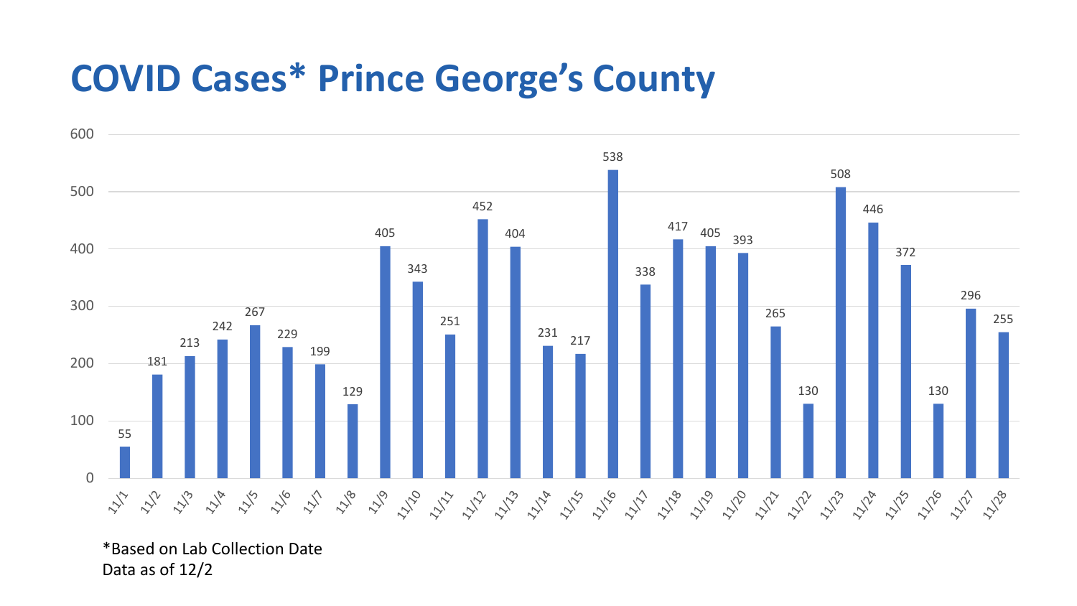## **COVID Cases\* Prince George's County**



\*Based on Lab Collection Date Data as of 12/2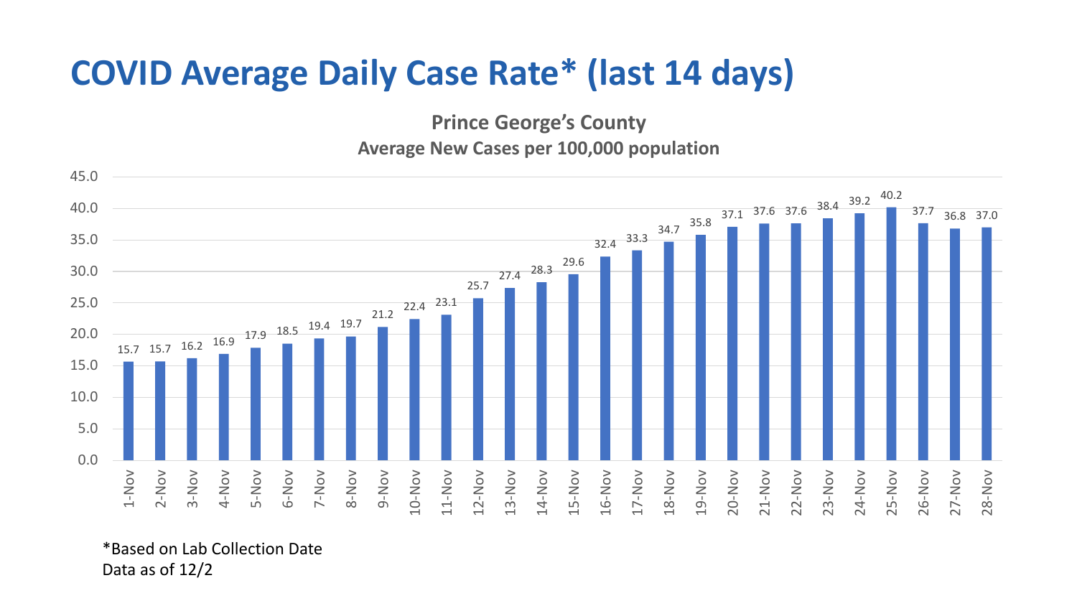## **COVID Average Daily Case Rate\* (last 14 days)**

**Prince George's County**

**Average New Cases per 100,000 population**



\*Based on Lab Collection Date Data as of 12/2